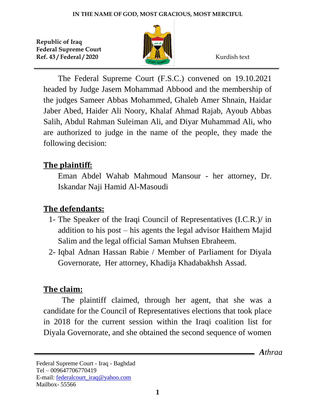

The Federal Supreme Court (F.S.C.) convened on 19.10.2021 headed by Judge Jasem Mohammad Abbood and the membership of the judges Sameer Abbas Mohammed, Ghaleb Amer Shnain, Haidar Jaber Abed, Haider Ali Noory, Khalaf Ahmad Rajab, Ayoub Abbas Salih, Abdul Rahman Suleiman Ali, and Diyar Muhammad Ali, who are authorized to judge in the name of the people, they made the following decision:

# **The plaintiff:**

Eman Abdel Wahab Mahmoud Mansour - her attorney, Dr. Iskandar Naji Hamid Al-Masoudi

# **The defendants:**

- 1- The Speaker of the Iraqi Council of Representatives (I.C.R.)/ in addition to his post – his agents the legal advisor Haithem Majid Salim and the legal official Saman Muhsen Ebraheem.
- 2- Iqbal Adnan Hassan Rabie / Member of Parliament for Diyala Governorate, Her attorney, Khadija Khadabakhsh Assad.

# **The claim:**

The plaintiff claimed, through her agent, that she was a candidate for the Council of Representatives elections that took place in 2018 for the current session within the Iraqi coalition list for Diyala Governorate, and she obtained the second sequence of women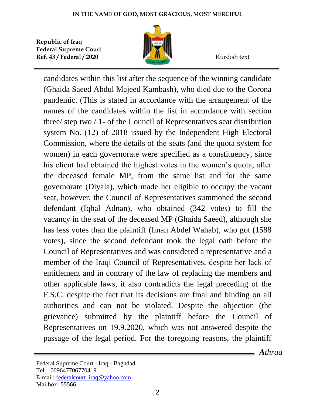

candidates within this list after the sequence of the winning candidate (Ghaida Saeed Abdul Majeed Kambash), who died due to the Corona pandemic. (This is stated in accordance with the arrangement of the names of the candidates within the list in accordance with section three/ step two / 1- of the Council of Representatives seat distribution system No. (12) of 2018 issued by the Independent High Electoral Commission, where the details of the seats (and the quota system for women) in each governorate were specified as a constituency, since his client had obtained the highest votes in the women's quota, after the deceased female MP, from the same list and for the same governorate (Diyala), which made her eligible to occupy the vacant seat, however, the Council of Representatives summoned the second defendant (Iqbal Adnan), who obtained (342 votes) to fill the vacancy in the seat of the deceased MP (Ghaida Saeed), although she has less votes than the plaintiff (Iman Abdel Wahab), who got (1588 votes), since the second defendant took the legal oath before the Council of Representatives and was considered a representative and a member of the Iraqi Council of Representatives, despite her lack of entitlement and in contrary of the law of replacing the members and other applicable laws, it also contradicts the legal preceding of the F.S.C. despite the fact that its decisions are final and binding on all authorities and can not be violated. Despite the objection (the grievance) submitted by the plaintiff before the Council of Representatives on 19.9.2020, which was not answered despite the passage of the legal period. For the foregoing reasons, the plaintiff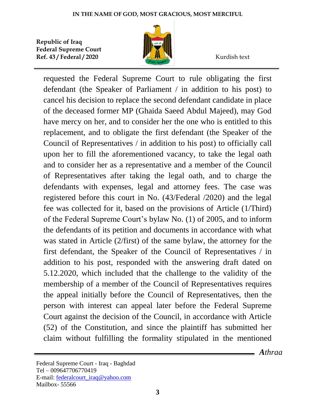

requested the Federal Supreme Court to rule obligating the first defendant (the Speaker of Parliament / in addition to his post) to cancel his decision to replace the second defendant candidate in place of the deceased former MP (Ghaida Saeed Abdul Majeed), may God have mercy on her, and to consider her the one who is entitled to this replacement, and to obligate the first defendant (the Speaker of the Council of Representatives / in addition to his post) to officially call upon her to fill the aforementioned vacancy, to take the legal oath and to consider her as a representative and a member of the Council of Representatives after taking the legal oath, and to charge the defendants with expenses, legal and attorney fees. The case was registered before this court in No. (43/Federal /2020) and the legal fee was collected for it, based on the provisions of Article (1/Third) of the Federal Supreme Court's bylaw No. (1) of 2005, and to inform the defendants of its petition and documents in accordance with what was stated in Article (2/first) of the same bylaw, the attorney for the first defendant, the Speaker of the Council of Representatives / in addition to his post, responded with the answering draft dated on 5.12.2020, which included that the challenge to the validity of the membership of a member of the Council of Representatives requires the appeal initially before the Council of Representatives, then the person with interest can appeal later before the Federal Supreme Court against the decision of the Council, in accordance with Article (52) of the Constitution, and since the plaintiff has submitted her claim without fulfilling the formality stipulated in the mentioned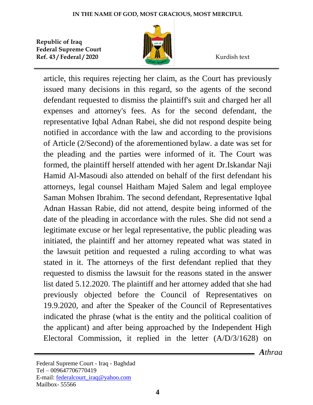

article, this requires rejecting her claim, as the Court has previously issued many decisions in this regard, so the agents of the second defendant requested to dismiss the plaintiff's suit and charged her all expenses and attorney's fees. As for the second defendant, the representative Iqbal Adnan Rabei, she did not respond despite being notified in accordance with the law and according to the provisions of Article (2/Second) of the aforementioned bylaw. a date was set for the pleading and the parties were informed of it. The Court was formed, the plaintiff herself attended with her agent Dr.Iskandar Naji Hamid Al-Masoudi also attended on behalf of the first defendant his attorneys, legal counsel Haitham Majed Salem and legal employee Saman Mohsen Ibrahim. The second defendant, Representative Iqbal Adnan Hassan Rabie, did not attend, despite being informed of the date of the pleading in accordance with the rules. She did not send a legitimate excuse or her legal representative, the public pleading was initiated, the plaintiff and her attorney repeated what was stated in the lawsuit petition and requested a ruling according to what was stated in it. The attorneys of the first defendant replied that they requested to dismiss the lawsuit for the reasons stated in the answer list dated 5.12.2020. The plaintiff and her attorney added that she had previously objected before the Council of Representatives on 19.9.2020, and after the Speaker of the Council of Representatives indicated the phrase (what is the entity and the political coalition of the applicant) and after being approached by the Independent High Electoral Commission, it replied in the letter (A/D/3/1628) on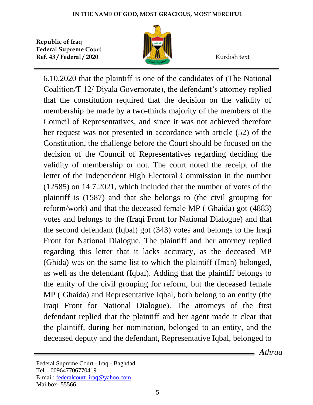

6.10.2020 that the plaintiff is one of the candidates of (The National Coalition/T 12/ Diyala Governorate), the defendant's attorney replied that the constitution required that the decision on the validity of membership be made by a two-thirds majority of the members of the Council of Representatives, and since it was not achieved therefore her request was not presented in accordance with article (52) of the Constitution, the challenge before the Court should be focused on the decision of the Council of Representatives regarding deciding the validity of membership or not. The court noted the receipt of the letter of the Independent High Electoral Commission in the number (12585) on 14.7.2021, which included that the number of votes of the plaintiff is (1587) and that she belongs to (the civil grouping for reform/work) and that the deceased female MP ( Ghaida) got (4883) votes and belongs to the (Iraqi Front for National Dialogue) and that the second defendant (Iqbal) got (343) votes and belongs to the Iraqi Front for National Dialogue. The plaintiff and her attorney replied regarding this letter that it lacks accuracy, as the deceased MP (Ghida) was on the same list to which the plaintiff (Iman) belonged, as well as the defendant (Iqbal). Adding that the plaintiff belongs to the entity of the civil grouping for reform, but the deceased female MP ( Ghaida) and Representative Iqbal, both belong to an entity (the Iraqi Front for National Dialogue). The attorneys of the first defendant replied that the plaintiff and her agent made it clear that the plaintiff, during her nomination, belonged to an entity, and the deceased deputy and the defendant, Representative Iqbal, belonged to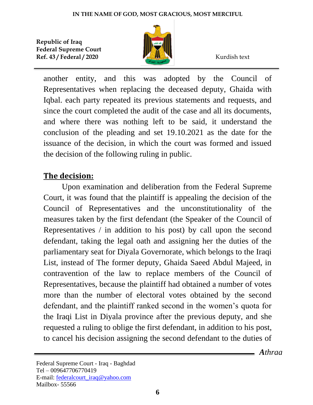

another entity, and this was adopted by the Council of Representatives when replacing the deceased deputy, Ghaida with Iqbal. each party repeated its previous statements and requests, and since the court completed the audit of the case and all its documents, and where there was nothing left to be said, it understand the conclusion of the pleading and set 19.10.2021 as the date for the issuance of the decision, in which the court was formed and issued the decision of the following ruling in public.

# **The decision:**

Upon examination and deliberation from the Federal Supreme Court, it was found that the plaintiff is appealing the decision of the Council of Representatives and the unconstitutionality of the measures taken by the first defendant (the Speaker of the Council of Representatives / in addition to his post) by call upon the second defendant, taking the legal oath and assigning her the duties of the parliamentary seat for Diyala Governorate, which belongs to the Iraqi List, instead of The former deputy, Ghaida Saeed Abdul Majeed, in contravention of the law to replace members of the Council of Representatives, because the plaintiff had obtained a number of votes more than the number of electoral votes obtained by the second defendant, and the plaintiff ranked second in the women's quota for the Iraqi List in Diyala province after the previous deputy, and she requested a ruling to oblige the first defendant, in addition to his post, to cancel his decision assigning the second defendant to the duties of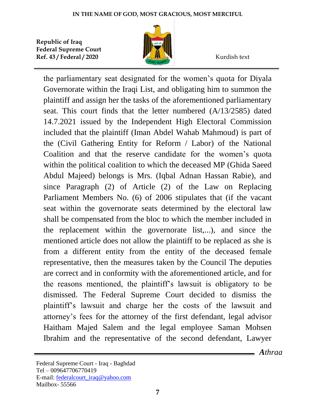

the parliamentary seat designated for the women's quota for Diyala Governorate within the Iraqi List, and obligating him to summon the plaintiff and assign her the tasks of the aforementioned parliamentary seat. This court finds that the letter numbered (A/13/2585) dated 14.7.2021 issued by the Independent High Electoral Commission included that the plaintiff (Iman Abdel Wahab Mahmoud) is part of the (Civil Gathering Entity for Reform / Labor) of the National Coalition and that the reserve candidate for the women's quota within the political coalition to which the deceased MP (Ghida Saeed Abdul Majeed) belongs is Mrs. (Iqbal Adnan Hassan Rabie), and since Paragraph (2) of Article (2) of the Law on Replacing Parliament Members No. (6) of 2006 stipulates that (if the vacant seat within the governorate seats determined by the electoral law shall be compensated from the bloc to which the member included in the replacement within the governorate list,...), and since the mentioned article does not allow the plaintiff to be replaced as she is from a different entity from the entity of the deceased female representative, then the measures taken by the Council The deputies are correct and in conformity with the aforementioned article, and for the reasons mentioned, the plaintiff's lawsuit is obligatory to be dismissed. The Federal Supreme Court decided to dismiss the plaintiff's lawsuit and charge her the costs of the lawsuit and attorney's fees for the attorney of the first defendant, legal advisor Haitham Majed Salem and the legal employee Saman Mohsen Ibrahim and the representative of the second defendant, Lawyer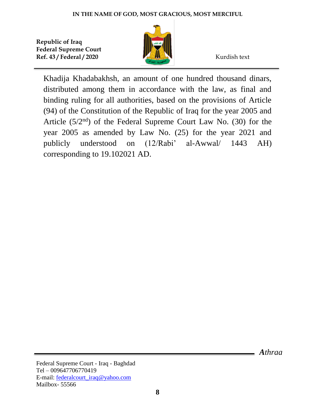

Khadija Khadabakhsh, an amount of one hundred thousand dinars, distributed among them in accordance with the law, as final and binding ruling for all authorities, based on the provisions of Article (94) of the Constitution of the Republic of Iraq for the year 2005 and Article  $(5/2<sup>nd</sup>)$  of the Federal Supreme Court Law No. (30) for the year 2005 as amended by Law No. (25) for the year 2021 and publicly understood on (12/Rabi' al-Awwal/ 1443 AH) corresponding to 19.102021 AD.